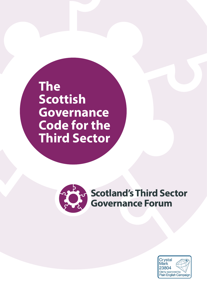**The Scottish Governance Code for the Third Sector**



**Scotland's Third Sector Governance Forum** 

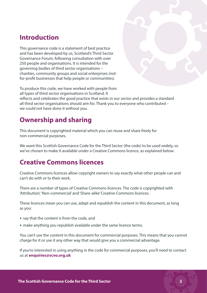### **Introduction**

This governance code is a statement of best practice and has been developed by us, Scotland's Third Sector Governance Forum, following consultation with over 250 people and organisations. It is intended for the governing bodies of third sector organisations – charities, community groups and social enterprises (notfor-profit businesses that help people or communities).

To produce this code, we have worked with people from all types of third sector organisations in Scotland. It reflects and celebrates the good practice that exists in our sector and provides a standard all third sector organisations should aim for. Thank you to everyone who contributed – we could not have done it without you.

### **Ownership and sharing**

This document is copyrighted material which you can reuse and share freely for non-commercial purposes.

We want this Scottish Governance Code for the Third Sector (the code) to be used widely, so we've chosen to make it available under a Creative Commons licence, as explained below.

### **Creative Commons licences**

Creative Commons licences allow copyright owners to say exactly what other people can and can't do with or to their work.

There are a number of types of Creative Commons licences. The code is copyrighted with 'Attribution', 'Non-commercial' and 'Share-alike' Creative Commons licences.

These licences mean you can use, adapt and republish the content in this document, as long as you:

- say that the content is from the code, and
- make anything you republish available under the same licence terms.

You can't use the content in this document for commercial purposes. This means that you cannot charge for it or use it any other way that would give you a commercial advantage.

If you're interested in using anything in the code for commercial purposes, you'll need to contact us at **[enquiries@scvo.o](mailto:enquiries%40scvo.org.uk?subject=)rg.uk**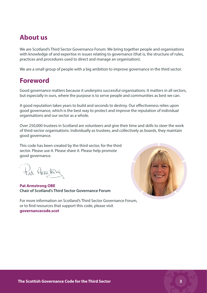### **About us**

We are Scotland's Third Sector Governance Forum. We bring together people and organisations with knowledge of and expertise in issues relating to governance (that is, the structure of rules, practices and procedures used to direct and manage an organisation).

We are a small group of people with a big ambition to improve governance in the third sector.

### **Foreword**

Good governance matters because it underpins successful organisations. It matters in all sectors, but especially in ours, where the purpose is to serve people and communities as best we can.

A good reputation takes years to build and seconds to destroy. Our effectiveness relies upon good governance, which is the best way to protect and improve the reputation of individual organisations and our sector as a whole.

Over 250,000 trustees in Scotland are volunteers and give their time and skills to steer the work of third-sector organisations. Individually as trustees, and collectively as boards, they maintain good governance.

This code has been created by the third sector, for the third sector. Please use it. Please share it. Please help promote good governance.

tat Armstra

**Pat Armstrong OBE Chair of Scotland's Third Sector Governance Forum** 

For more information on Scotland's Third Sector Governance Forum, or to find resources that support this code, please visit **[governancecode.scot](http://governancecode.scot )**

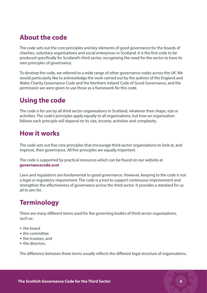# **About the code**

The code sets out the core principles and key elements of good governance for the boards of charities, voluntary organisations and social enterprises in Scotland. It is the first code to be produced specifically for Scotland's third sector, recognising the need for the sector to have its own principles of governance.

To develop the code, we referred to a wide range of other governance codes across the UK. We would particularly like to acknowledge the work carried out by the authors of the England and Wales Charity Governance Code and the Northern Ireland Code of Good Governance, and the permission we were given to use those as a framework for this code.

# **Using the code**

The code is for use by all third sector organisations in Scotland, whatever their shape, size or activities. The code's principles apply equally to all organisations, but how an organisation follows each principle will depend on its size, income, activities and complexity.

### **How it works**

The code sets out five core principles that encourage third-sector organisations to look at, and improve, their governance. All five principles are equally important.

The code is supported by practical resources which can be found on our website at **[governancecode.scot](http://governancecode.scot)**

Laws and regulations are fundamental to good governance. However, keeping to the code is not a legal or regulatory requirement. The code is a tool to support continuous improvement and strengthen the effectiveness of governance across the third sector. It provides a standard for us all to aim for.

# **Terminology**

There are many different terms used for the governing bodies of third-sector organisations, such as:

- the board
- the committee
- the trustees, and
- the directors.

The difference between these terms usually reflects the different legal structure of organisations,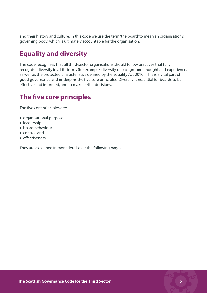and their history and culture. In this code we use the term 'the board' to mean an organisation's governing body, which is ultimately accountable for the organisation.

### **Equality and diversity**

The code recognises that all third-sector organisations should follow practices that fully recognise diversity in all its forms (for example, diversity of background, thought and experience, as well as the protected characteristics defined by the Equality Act 2010). This is a vital part of good governance and underpins the five core principles. Diversity is essential for boards to be effective and informed, and to make better decisions.

# **The five core principles**

The five core principles are:

- • organisational purpose
- leadership
- • board behaviour
- control, and
- • effectiveness.

They are explained in more detail over the following pages.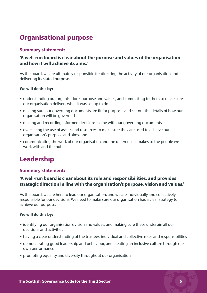# **Organisational purpose**

### **Summary statement:**

### **'A well-run board is clear about the purpose and values of the organisation and how it will achieve its aims.'**

As the board, we are ultimately responsible for directing the activity of our organisation and delivering its stated purpose.

#### **We will do this by:**

- understanding our organisation's purpose and values, and committing to them to make sure our organisation delivers what it was set up to do
- making sure our governing documents are fit for purpose, and set out the details of how our organisation will be governed
- making and recording informed decisions in line with our governing documents
- overseeing the use of assets and resources to make sure they are used to achieve our organisation's purpose and aims, and
- communicating the work of our organisation and the difference it makes to the people we work with and the public.

# **Leadership**

#### **Summary statement:**

### **'A well-run board is clear about its role and responsibilities, and provides strategic direction in line with the organisation's purpose, vision and values.'**

As the board, we are here to lead our organisation, and we are individually and collectively responsible for our decisions. We need to make sure our organisation has a clear strategy to achieve our purpose.

#### **We will do this by:**

- identifying our organisation's vision and values, and making sure these underpin all our decisions and activities
- having a clear understanding of the trustees' individual and collective roles and responsibilities
- demonstrating good leadership and behaviour, and creating an inclusive culture through our own performance
- promoting equality and diversity throughout our organisation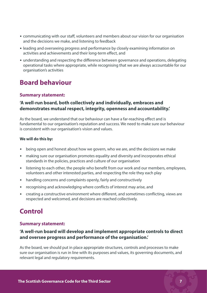- communicating with our staff, volunteers and members about our vision for our organisation and the decisions we make, and listening to feedback
- leading and overseeing progress and performance by closely examining information on activities and achievements and their long-term effect, and
- understanding and respecting the difference between governance and operations, delegating operational tasks where appropriate, while recognising that we are always accountable for our organisation's activities

### **Board behaviour**

### **Summary statement:**

### **'A well-run board, both collectively and individually, embraces and demonstrates mutual respect, integrity, openness and accountability.'**

As the board, we understand that our behaviour can have a far-reaching effect and is fundamental to our organisation's reputation and success. We need to make sure our behaviour is consistent with our organisation's vision and values.

#### **We will do this by:**

- being open and honest about how we govern, who we are, and the decisions we make
- making sure our organisation promotes equality and diversity and incorporates ethical standards in the policies, practices and culture of our organisation
- listening to each other, the people who benefit from our work and our members, employees, volunteers and other interested parties, and respecting the role they each play
- handling concerns and complaints openly, fairly and constructively
- recognising and acknowledging where conflicts of interest may arise, and
- creating a constructive environment where different, and sometimes conflicting, views are respected and welcomed, and decisions are reached collectively.

# **Control**

### **Summary statement:**

### **'A well-run board will develop and implement appropriate controls to direct and oversee progress and performance of the organisation.'**

As the board, we should put in place appropriate structures, controls and processes to make sure our organisation is run in line with its purposes and values, its governing documents, and relevant legal and regulatory requirements.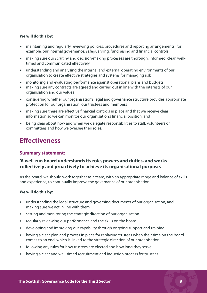#### **We will do this by:**

- maintaining and regularly reviewing policies, procedures and reporting arrangements (for example, our internal governance, safeguarding, fundraising and financial controls)
- making sure our scrutiny and decision-making processes are thorough, informed, clear, welltimed and communicated effectively
- understanding and analysing the internal and external operating environments of our organisation to create effective strategies and systems for managing risk
- monitoring and evaluating performance against operational plans and budgets
- making sure any contracts are agreed and carried out in line with the interests of our organisation and our values
- considering whether our organisation's legal and governance structure provides appropriate protection for our organisation, our trustees and members
- making sure there are effective financial controls in place and that we receive clear information so we can monitor our organisation's financial position, and
- being clear about how and when we delegate responsibilities to staff, volunteers or committees and how we oversee their roles.

### **Effectiveness**

#### **Summary statement:**

### **'A well-run board understands its role, powers and duties, and works collectively and proactively to achieve its organisational purpose.'**

As the board, we should work together as a team, with an appropriate range and balance of skills and experience, to continually improve the governance of our organisation.

#### **We will do this by:**

- understanding the legal structure and governing documents of our organisation, and making sure we act in line with them
- setting and monitoring the strategic direction of our organisation
- regularly reviewing our performance and the skills on the board
- developing and improving our capability through ongoing support and training
- having a clear plan and process in place for replacing trustees when their time on the board comes to an end, which is linked to the strategic direction of our organisation
- following any rules for how trustees are elected and how long they serve
- having a clear and well-timed recruitment and induction process for trustees